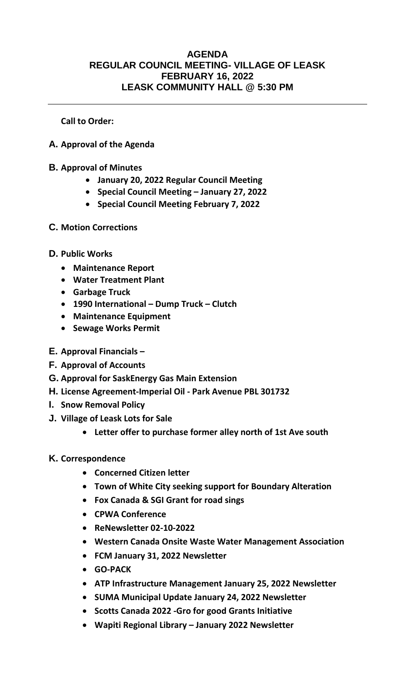## **AGENDA REGULAR COUNCIL MEETING- VILLAGE OF LEASK FEBRUARY 16, 2022 LEASK COMMUNITY HALL @ 5:30 PM**

**Call to Order:** 

- **A. Approval of the Agenda**
- **B. Approval of Minutes**
	- **January 20, 2022 Regular Council Meeting**
	- **Special Council Meeting – January 27, 2022**
	- **Special Council Meeting February 7, 2022**
- **C. Motion Corrections**
- **D. Public Works**
	- **Maintenance Report**
	- **Water Treatment Plant**
	- **Garbage Truck**
	- **1990 International – Dump Truck – Clutch**
	- **Maintenance Equipment**
	- **Sewage Works Permit**
- **E. Approval Financials –**
- **F. Approval of Accounts**
- **G. Approval for SaskEnergy Gas Main Extension**
- **H. License Agreement-Imperial Oil - Park Avenue PBL 301732**
- **I. Snow Removal Policy**
- **J. Village of Leask Lots for Sale**
	- **Letter offer to purchase former alley north of 1st Ave south**
- **K. Correspondence**
	- **Concerned Citizen letter**
	- **Town of White City seeking support for Boundary Alteration**
	- **Fox Canada & SGI Grant for road sings**
	- **CPWA Conference**
	- **ReNewsletter 02-10-2022**
	- **Western Canada Onsite Waste Water Management Association**
	- **FCM January 31, 2022 Newsletter**
	- **GO-PACK**
	- **ATP Infrastructure Management January 25, 2022 Newsletter**
	- **SUMA Municipal Update January 24, 2022 Newsletter**
	- **Scotts Canada 2022 -Gro for good Grants Initiative**
	- **Wapiti Regional Library – January 2022 Newsletter**